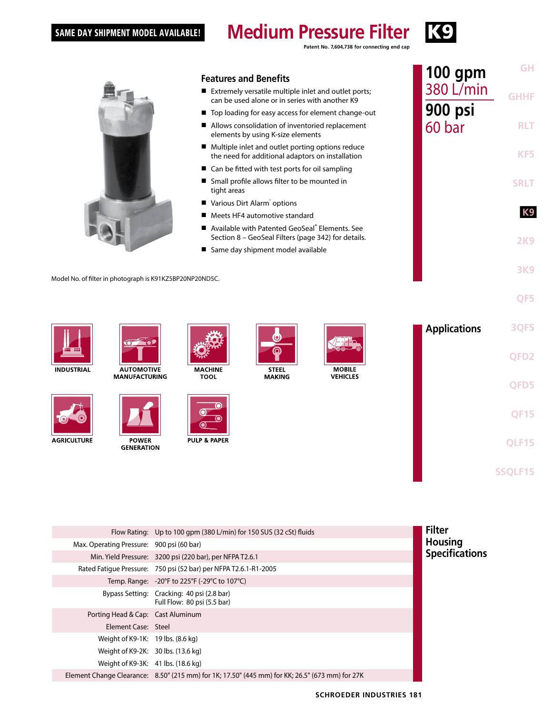#### SAME DAY SHIPMENT MODEL AVAILABLE!

#### K9 **Medium Pressure Filter**

**Patent No. 7,604,738 for connecting end cap**



## **Features and Benefits**

- Extremely versatile multiple inlet and outlet ports; can be used alone or in series with another K9
- Top loading for easy access for element change-out
- Allows consolidation of inventoried replacement elements by using K-size elements
- Multiple inlet and outlet porting options reduce the need for additional adaptors on installation
- Can be fitted with test ports for oil sampling
- Small profile allows filter to be mounted in tight areas
- Various Dirt Alarm<sup>®</sup> options
- Meets HF4 automotive standard
- Available with Patented GeoSeal® Elements. See Section 8 – GeoSeal Filters (page 342) for details.
- Same day shipment model available

Model No. of filter in photograph is K91KZ5BP20NP20ND5C.



**INDUSTRIAL** 



**AGRICULTURE** 



**MANUFACTURING** 

**POWER** 

**GENERATION** 



**MACHINE** 

**TOOL** 



**MOBILE VEHICLES** 



**GH**

**GHHF**

**100 gpm** 380 L/min

**900 psi** 60 bar

**RLT**

**KF5**

**SRLT**

**K9**

**2K9**

**3K9**

|                                           | Flow Rating: Up to 100 gpm (380 L/min) for 150 SUS (32 cSt) fluids                              | <b>Filter</b>         |
|-------------------------------------------|-------------------------------------------------------------------------------------------------|-----------------------|
| Max. Operating Pressure: 900 psi (60 bar) |                                                                                                 | <b>Housing</b>        |
|                                           | Min. Yield Pressure: 3200 psi (220 bar), per NFPA T2.6.1                                        | <b>Specifications</b> |
|                                           | Rated Fatigue Pressure: 750 psi (52 bar) per NFPA T2.6.1-R1-2005                                |                       |
|                                           | Temp. Range: $-20^{\circ}$ F to 225°F (-29°C to 107°C)                                          |                       |
|                                           | Bypass Setting: Cracking: 40 psi (2.8 bar)<br>Full Flow: 80 psi (5.5 bar)                       |                       |
| Porting Head & Cap: Cast Aluminum         |                                                                                                 |                       |
| Element Case: Steel                       |                                                                                                 |                       |
| Weight of K9-1K: 19 lbs. (8.6 kg)         |                                                                                                 |                       |
| Weight of K9-2K: 30 lbs. (13.6 kg)        |                                                                                                 |                       |
| Weight of K9-3K: 41 lbs. (18.6 kg)        |                                                                                                 |                       |
|                                           | Element Change Clearance: 8.50" (215 mm) for 1K; 17.50" (445 mm) for KK; 26.5" (673 mm) for 27K |                       |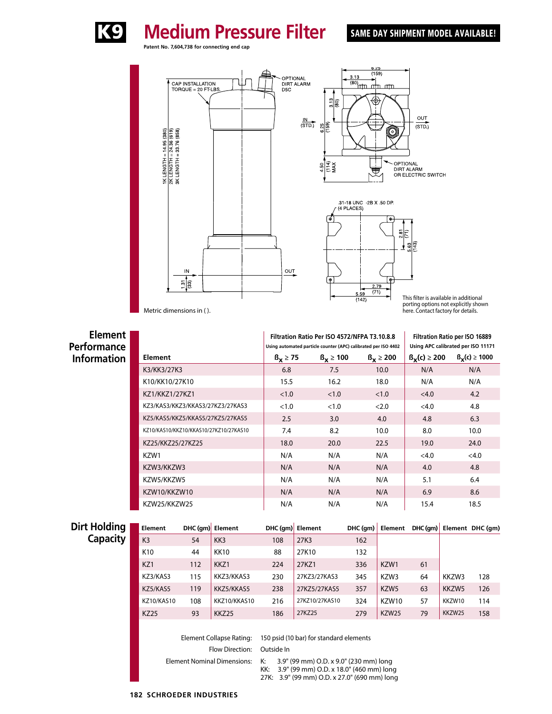

# SAME DAY SHIPMENT MODEL AVAILABLE!

**Patent No. 7,604,738 for connecting end cap** OPTIONAL<br>DIRT ALARM<br>D5C CAP INSTALLATION<br>TORQUE = 20 FT-LBS

**Medium Pressure Filter** 





This filter is available in additional porting options not explicitly shown here. Contact factory for details.

Metric dimensions in ( ).

IN

 $\frac{5}{130}$ 

 $\frac{1}{2}$  TK LENGTH = 14.95 (380)<br>  $\frac{2}{2}$  TK LENGTH = 24.36 (619)<br>  $\frac{3}{2}$  TK LENGTH = 33.76 (858)

**Element Performance Information Filtration Ratio Per ISO 4572/NFPA T3.10.8.8 Using automated particle counter (APC) calibrated per ISO 4402 Filtration Ratio per ISO 16889 Using APC calibrated per ISO 11171 Element ßx ≥ 75 ßx ≥ 100 ßx ≥ 200 ßx(c) ≥ 200 ßx(c) ≥ 1000** K3/KK3/27K3 6.8 7.5 10.0 N/A N/A K10/KK10/27K10 | 15.5 16.2 18.0 N/A N/A KZ1/KKZ1/27KZ1 <1.0 <1.0 <1.0 <4.0 +4.2 KZ3/KAS3/KKZ3/KKAS3/27KZ3/27KAS3 <1.0 <1.0 <2.0 <4.0 4.8 KZ5/KAS5/KKZ5/KKAS5/27KZ5/27KAS5 2.5 3.0 4.0 4.8 6.3 KZ10/KAS10/KKZ10/KKAS10/27KZ10/27KAS10 7.4 8.2 10.0 8.0 10.0 KZ25/KKZ25/27KZ25 18.0 20.0 22.5 19.0 24.0 KZW1 N/A N/A N/A <4.0 <4.0 KZW3/KKZW3 N/A N/A N/A 4.0 4.8 KZW5/KKZW5 N/A N/A N/A 5.1 6.4 KZW10/KKZW10 N/A N/A N/A 6.9 8.6 KZW25/KKZW25 N/A N/A N/A 15.4 18.5

OUT

| Dirt Holding | Element         |     | DHC (gm) Element |     | DHC (qm) Element | $DHC$ (gm) | Element      |    |        | DHC(qm) Element DHC(qm) |
|--------------|-----------------|-----|------------------|-----|------------------|------------|--------------|----|--------|-------------------------|
| Capacity     | K <sub>3</sub>  | 54  | KK3              | 108 | 27K3             | 162        |              |    |        |                         |
|              | K <sub>10</sub> | 44  | <b>KK10</b>      | 88  | 27K10            | 132        |              |    |        |                         |
|              | KZ1             | 112 | KKZ1             | 224 | 27KZ1            | 336        | KZW1         | 61 |        |                         |
|              | KZ3/KAS3        | 115 | KKZ3/KKAS3       | 230 | 27KZ3/27KAS3     | 345        | KZW3         | 64 | KKZW3  | 128                     |
|              | KZ5/KAS5        | 119 | KKZ5/KKAS5       | 238 | 27KZ5/27KAS5     | 357        | KZW5         | 63 | KKZW5  | 126                     |
|              | KZ10/KAS10      | 108 | KKZ10/KKAS10     | 216 | 27KZ10/27KAS10   | 324        | KZW10        | 57 | KKZW10 | 114                     |
|              | <b>KZ25</b>     | 93  | KKZ25            | 186 | 27KZ25           | 279        | <b>KZW25</b> | 79 | KKZW25 | 158                     |
|              |                 |     |                  |     |                  |            |              |    |        |                         |

Element Collapse Rating: 150 psid (10 bar) for standard elements Flow Direction: Outside In

Element Nominal Dimensions: K: 3.9" (99 mm) O.D. x 9.0" (230 mm) long

KK: 3.9" (99 mm) O.D. x 18.0" (460 mm) long

27K: 3.9" (99 mm) O.D. x 27.0" (690 mm) long

#### **182 SCHROEDER INDUSTRIES**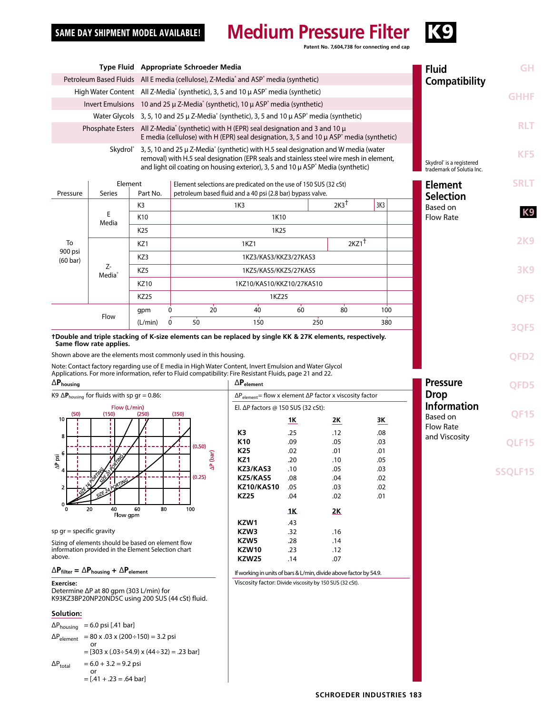# **Medium Pressure Filter** K<sup>9</sup>

**Patent No. 7,604,738 for connecting end cap**

| Type Fluid Appropriate Schroeder Media                                                                                                                                                                                                                                          |                                                                                                           |                 |                                                                                                                                                                                                                                                                                         |                                                                                                                                |            |                                    | <b>Fluid</b>                                                      | <b>GH</b>                          |              |
|---------------------------------------------------------------------------------------------------------------------------------------------------------------------------------------------------------------------------------------------------------------------------------|-----------------------------------------------------------------------------------------------------------|-----------------|-----------------------------------------------------------------------------------------------------------------------------------------------------------------------------------------------------------------------------------------------------------------------------------------|--------------------------------------------------------------------------------------------------------------------------------|------------|------------------------------------|-------------------------------------------------------------------|------------------------------------|--------------|
| Petroleum Based Fluids All E media (cellulose), Z-Media and ASP <sup>®</sup> media (synthetic)                                                                                                                                                                                  |                                                                                                           |                 |                                                                                                                                                                                                                                                                                         |                                                                                                                                |            | Compatibility                      |                                                                   |                                    |              |
| High Water Content All Z-Media <sup>®</sup> (synthetic), 3, 5 and 10 µ ASP <sup>®</sup> media (synthetic)                                                                                                                                                                       |                                                                                                           |                 |                                                                                                                                                                                                                                                                                         |                                                                                                                                |            |                                    | <b>GHHF</b>                                                       |                                    |              |
| Invert Emulsions 10 and 25 $\mu$ Z-Media <sup>®</sup> (synthetic), 10 $\mu$ ASP <sup>®</sup> media (synthetic)                                                                                                                                                                  |                                                                                                           |                 |                                                                                                                                                                                                                                                                                         |                                                                                                                                |            |                                    |                                                                   |                                    |              |
| Water Glycols 3, 5, 10 and 25 µ Z-Media <sup>®</sup> (synthetic), 3, 5 and 10 µ ASP <sup>®</sup> media (synthetic)                                                                                                                                                              |                                                                                                           |                 |                                                                                                                                                                                                                                                                                         |                                                                                                                                |            |                                    |                                                                   |                                    |              |
| Phosphate Esters All Z-Media <sup>®</sup> (synthetic) with H (EPR) seal designation and 3 and 10 $\mu$<br>E media (cellulose) with H (EPR) seal designation, 3, 5 and 10 $\mu$ ASP <sup><math>\circ</math></sup> media (synthetic)                                              |                                                                                                           |                 |                                                                                                                                                                                                                                                                                         |                                                                                                                                |            |                                    |                                                                   | <b>RLT</b>                         |              |
| Skydrol $3, 5, 10$ and 25 $\mu$ Z-Media (synthetic) with H.5 seal designation and W media (water<br>removal) with H.5 seal designation (EPR seals and stainless steel wire mesh in element,<br>and light oil coating on housing exterior), 3, 5 and 10 µ ASP° Media (synthetic) |                                                                                                           |                 |                                                                                                                                                                                                                                                                                         |                                                                                                                                |            |                                    | Skydrol <sup>®</sup> is a registered<br>trademark of Solutia Inc. | KF <sub>5</sub>                    |              |
| Pressure                                                                                                                                                                                                                                                                        | Element<br>Series                                                                                         | Part No.        |                                                                                                                                                                                                                                                                                         | Element selections are predicated on the use of 150 SUS (32 cSt)<br>petroleum based fluid and a 40 psi (2.8 bar) bypass valve. |            |                                    |                                                                   | <b>Element</b><br><b>Selection</b> | <b>SRLT</b>  |
|                                                                                                                                                                                                                                                                                 |                                                                                                           | K3              |                                                                                                                                                                                                                                                                                         | 1K3                                                                                                                            |            | $2K3^{\dagger}$                    | 3K3                                                               | Based on                           |              |
|                                                                                                                                                                                                                                                                                 | Е<br>Media                                                                                                | K10             |                                                                                                                                                                                                                                                                                         | 1K10                                                                                                                           |            |                                    |                                                                   | <b>Flow Rate</b>                   | <b>K9</b>    |
|                                                                                                                                                                                                                                                                                 |                                                                                                           | K <sub>25</sub> |                                                                                                                                                                                                                                                                                         | 1K <sub>25</sub>                                                                                                               |            |                                    |                                                                   |                                    |              |
| To                                                                                                                                                                                                                                                                              |                                                                                                           | KZ1             |                                                                                                                                                                                                                                                                                         | 1KZ1                                                                                                                           |            | $2KZ1$ <sup>+</sup>                |                                                                   |                                    | <b>2K9</b>   |
| 900 psi<br>$(60 \text{ bar})$                                                                                                                                                                                                                                                   |                                                                                                           | KZ3             |                                                                                                                                                                                                                                                                                         | 1KZ3/KAS3/KKZ3/27KAS3                                                                                                          |            |                                    |                                                                   |                                    |              |
|                                                                                                                                                                                                                                                                                 | Z-                                                                                                        | KZ5             |                                                                                                                                                                                                                                                                                         | 1KZ5/KAS5/KKZ5/27KAS5                                                                                                          |            |                                    |                                                                   |                                    | <b>3K9</b>   |
|                                                                                                                                                                                                                                                                                 | Media <sup>®</sup>                                                                                        | <b>KZ10</b>     |                                                                                                                                                                                                                                                                                         | 1KZ10/KAS10/KKZ10/27KAS10                                                                                                      |            |                                    |                                                                   |                                    |              |
|                                                                                                                                                                                                                                                                                 |                                                                                                           | <b>KZ25</b>     |                                                                                                                                                                                                                                                                                         | 1KZ25                                                                                                                          |            |                                    |                                                                   |                                    | QF5          |
|                                                                                                                                                                                                                                                                                 |                                                                                                           | gpm             | 20<br>0                                                                                                                                                                                                                                                                                 | 40                                                                                                                             | 60         | 80                                 | 100                                                               |                                    |              |
|                                                                                                                                                                                                                                                                                 | Flow                                                                                                      | (L/min)         | 50<br>0                                                                                                                                                                                                                                                                                 | 150                                                                                                                            |            | 250                                | 380                                                               |                                    | <b>30F5</b>  |
|                                                                                                                                                                                                                                                                                 | Same flow rate applies.                                                                                   |                 | tDouble and triple stacking of K-size elements can be replaced by single KK & 27K elements, respectively.<br>Shown above are the elements most commonly used in this housing.<br>Note: Contact factory regarding use of E media in High Water Content, Invert Emulsion and Water Glycol |                                                                                                                                |            |                                    |                                                                   |                                    | QFD2         |
| $\Delta \textbf{P}_{\text{housing}}$                                                                                                                                                                                                                                            | K9 $\Delta$ P <sub>housing</sub> for fluids with sp gr = 0.86:                                            |                 | Applications. For more information, refer to Fluid compatibility: Fire Resistant Fluids, page 21 and 22.                                                                                                                                                                                | $\Delta P_{element}$<br>$\Delta P_{element}$ = flow x element $\Delta P$ factor x viscosity factor                             |            |                                    |                                                                   | <b>Pressure</b><br><b>Drop</b>     | QFD5         |
| (50)                                                                                                                                                                                                                                                                            | (150)                                                                                                     | (250)           | Flow (L/min)                                                                                                                                                                                                                                                                            |                                                                                                                                |            | El. ΔP factors @ 150 SUS (32 cSt): |                                                                   | <b>Information</b>                 |              |
| 10                                                                                                                                                                                                                                                                              |                                                                                                           |                 |                                                                                                                                                                                                                                                                                         |                                                                                                                                |            |                                    |                                                                   |                                    |              |
| 8                                                                                                                                                                                                                                                                               |                                                                                                           |                 | (350)                                                                                                                                                                                                                                                                                   |                                                                                                                                | 1Κ         | 2К                                 | 3К                                                                | Based on                           | <b>QF15</b>  |
|                                                                                                                                                                                                                                                                                 |                                                                                                           |                 |                                                                                                                                                                                                                                                                                         | K3                                                                                                                             | .25        | .12                                | .08                                                               | <b>Flow Rate</b>                   |              |
| Σä<br>$\mathbf{r}$                                                                                                                                                                                                                                                              |                                                                                                           |                 | (0.50)                                                                                                                                                                                                                                                                                  | K <sub>10</sub>                                                                                                                | .09        | .05                                | .03                                                               | and Viscosity                      | <b>QLF15</b> |
| (0.25)                                                                                                                                                                                                                                                                          |                                                                                                           |                 |                                                                                                                                                                                                                                                                                         | K25<br>KZ1                                                                                                                     | .02<br>.20 | .01<br>.10                         | .01<br>.05                                                        |                                    |              |
|                                                                                                                                                                                                                                                                                 |                                                                                                           |                 | $\Delta P$ (bar)                                                                                                                                                                                                                                                                        | KZ3/KAS3                                                                                                                       | .10        | .05                                | .03                                                               |                                    |              |
|                                                                                                                                                                                                                                                                                 |                                                                                                           |                 |                                                                                                                                                                                                                                                                                         | KZ5/KAS5<br><b>KZ10/KAS10</b>                                                                                                  | .08<br>.05 | .04<br>.03                         | .02<br>.02                                                        |                                    |              |
|                                                                                                                                                                                                                                                                                 |                                                                                                           |                 |                                                                                                                                                                                                                                                                                         | <b>KZ25</b>                                                                                                                    | .04        | .02                                | .01                                                               |                                    |              |
|                                                                                                                                                                                                                                                                                 | 20<br>40                                                                                                  | 80<br>60        | 100                                                                                                                                                                                                                                                                                     |                                                                                                                                | <u> 1К</u> | 2K                                 |                                                                   |                                    |              |
|                                                                                                                                                                                                                                                                                 | Flow gpm                                                                                                  |                 |                                                                                                                                                                                                                                                                                         | KZW1                                                                                                                           | .43        |                                    |                                                                   |                                    |              |
|                                                                                                                                                                                                                                                                                 | sp $qr = specific$ gravity                                                                                |                 |                                                                                                                                                                                                                                                                                         | KZW3                                                                                                                           | .32        | .16                                |                                                                   |                                    |              |
|                                                                                                                                                                                                                                                                                 | Sizing of elements should be based on element flow<br>information provided in the Element Selection chart |                 |                                                                                                                                                                                                                                                                                         | KZW5<br>KZW10                                                                                                                  | .28<br>.23 | .14<br>.12                         |                                                                   |                                    |              |
| above.                                                                                                                                                                                                                                                                          |                                                                                                           |                 |                                                                                                                                                                                                                                                                                         | <b>KZW25</b>                                                                                                                   | .14        | .07                                |                                                                   |                                    |              |
|                                                                                                                                                                                                                                                                                 | $\Delta P_{\text{filter}} = \Delta P_{\text{housing}} + \Delta P_{\text{element}}$                        |                 |                                                                                                                                                                                                                                                                                         | If working in units of bars & L/min, divide above factor by 54.9.                                                              |            |                                    |                                                                   |                                    |              |
| <b>Exercise:</b>                                                                                                                                                                                                                                                                | Determine ∆P at 80 gpm (303 L/min) for<br>K93KZ3BP20NP20ND5C using 200 SUS (44 cSt) fluid.                |                 |                                                                                                                                                                                                                                                                                         | Viscosity factor: Divide viscosity by 150 SUS (32 cSt).                                                                        |            |                                    |                                                                   |                                    |              |
| Solution:                                                                                                                                                                                                                                                                       |                                                                                                           |                 |                                                                                                                                                                                                                                                                                         |                                                                                                                                |            |                                    |                                                                   |                                    |              |
| $\Delta P_{\text{housing}}$                                                                                                                                                                                                                                                     | $= 6.0$ psi [.41 bar]                                                                                     |                 |                                                                                                                                                                                                                                                                                         |                                                                                                                                |            |                                    |                                                                   |                                    |              |
| $\Delta P_{\rm element}$                                                                                                                                                                                                                                                        | $= 80$ x .03 x (200÷150) = 3.2 psi                                                                        |                 |                                                                                                                                                                                                                                                                                         |                                                                                                                                |            |                                    |                                                                   |                                    |              |
|                                                                                                                                                                                                                                                                                 | $=$ [303 x (.03÷54.9) x (44÷32) = .23 bar]                                                                |                 |                                                                                                                                                                                                                                                                                         |                                                                                                                                |            |                                    |                                                                   |                                    |              |
| $\Delta \mathsf{P}_{\mathsf{total}}$                                                                                                                                                                                                                                            | $= 6.0 + 3.2 = 9.2$ psi<br>or                                                                             |                 |                                                                                                                                                                                                                                                                                         |                                                                                                                                |            |                                    |                                                                   |                                    |              |

$$
= [.41 + .23 = .64 \text{ bar}]
$$